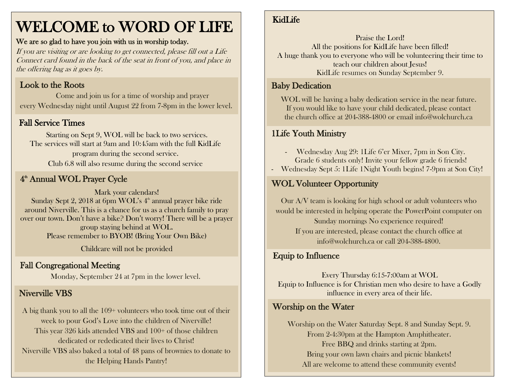# WELCOME to WORD OF LIFE

#### We are so glad to have you join with us in worship today.

If you are visiting or are looking to get connected, please fill out a Life Connect card found in the back of the seat in front of you, and place in the offering bag as it goes by.

#### Look to the Roots

 Come and join us for a time of worship and prayer every Wednesday night until August 22 from 7-8pm in the lower level.

## Fall Service Times

Starting on Sept 9, WOL will be back to two services. The services will start at 9am and 10:45am with the full KidLife program during the second service. Club 6.8 will also resume during the second service

# 4<sup>th</sup> Annual WOL Prayer Cycle

Mark your calendars! Sunday Sept 2, 2018 at 6pm WOL's 4<sup>th</sup> annual prayer bike ride around Niverville. This is a chance for us as a church family to pray over our town. Don't have a bike? Don't worry! There will be a prayer group staying behind at WOL. Please remember to BYOB! (Bring Your Own Bike)

Childcare will not be provided

## Fall Congregational Meeting

Monday, September 24 at 7pm in the lower level.

# Niverville VBS

A big thank you to all the 109+ volunteers who took time out of their week to pour God's Love into the children of Niverville! This year 326 kids attended VBS and 100+ of those children dedicated or rededicated their lives to Christ! Niverville VBS also baked a total of 48 pans of brownies to donate to the Helping Hands Pantry!

# KidLife

Praise the Lord! All the positions for KidLife have been filled! A huge thank you to everyone who will be volunteering their time to teach our children about Jesus! KidLife resumes on Sunday September 9.

# Baby Dedication

WOL will be having a baby dedication service in the near future. If you would like to have your child dedicated, please contact the church office at 204-388-4800 or email info@wolchurch.ca

## 1Life Youth Ministry

- Wednesday Aug 29: 1Life 6'er Mixer, 7pm in Son City. Grade 6 students only! Invite your fellow grade 6 friends!

- Wednesday Sept 5: 1Life 1Night Youth begins! 7-9pm at Son City!

# WOL Volunteer Opportunity

Our A/V team is looking for high school or adult volunteers who would be interested in helping operate the PowerPoint computer on Sunday mornings No experience required! If you are interested, please contact the church office at info@wolchurch.ca or call 204-388-4800.

#### Equip to Influence

Every Thursday 6:15-7:00am at WOL Equip to Influence is for Christian men who desire to have a Godly influence in every area of their life.

## Worship on the Water

Worship on the Water Saturday Sept. 8 and Sunday Sept. 9. From 2-4:30pm at the Hampton Amphitheater. Free BBQ and drinks starting at 2pm. Bring your own lawn chairs and picnic blankets! All are welcome to attend these community events!